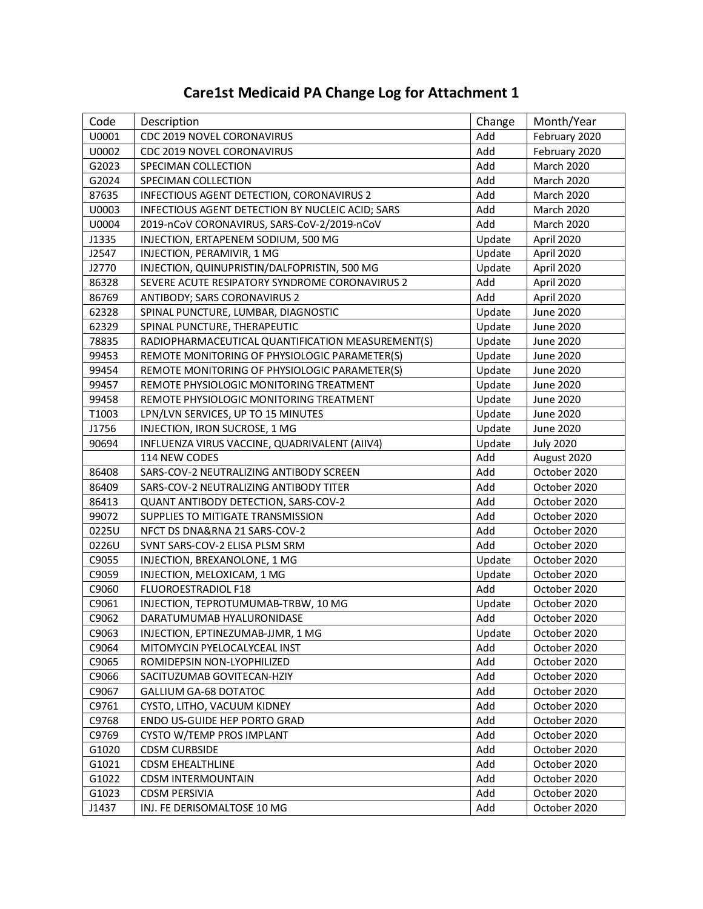| Code  | Description                                       | Change | Month/Year        |
|-------|---------------------------------------------------|--------|-------------------|
| U0001 | CDC 2019 NOVEL CORONAVIRUS                        | Add    | February 2020     |
| U0002 | CDC 2019 NOVEL CORONAVIRUS                        | Add    | February 2020     |
| G2023 | SPECIMAN COLLECTION                               | Add    | <b>March 2020</b> |
| G2024 | SPECIMAN COLLECTION                               | Add    | <b>March 2020</b> |
| 87635 | INFECTIOUS AGENT DETECTION, CORONAVIRUS 2         | Add    | <b>March 2020</b> |
| U0003 | INFECTIOUS AGENT DETECTION BY NUCLEIC ACID; SARS  | Add    | March 2020        |
| U0004 | 2019-nCoV CORONAVIRUS, SARS-CoV-2/2019-nCoV       | Add    | March 2020        |
| J1335 | INJECTION, ERTAPENEM SODIUM, 500 MG               | Update | April 2020        |
| J2547 | INJECTION, PERAMIVIR, 1 MG                        | Update | April 2020        |
| J2770 | INJECTION, QUINUPRISTIN/DALFOPRISTIN, 500 MG      | Update | April 2020        |
| 86328 | SEVERE ACUTE RESIPATORY SYNDROME CORONAVIRUS 2    | Add    | April 2020        |
| 86769 | ANTIBODY; SARS CORONAVIRUS 2                      | Add    | April 2020        |
| 62328 | SPINAL PUNCTURE, LUMBAR, DIAGNOSTIC               | Update | June 2020         |
| 62329 | SPINAL PUNCTURE, THERAPEUTIC                      | Update | June 2020         |
| 78835 | RADIOPHARMACEUTICAL QUANTIFICATION MEASUREMENT(S) | Update | June 2020         |
| 99453 | REMOTE MONITORING OF PHYSIOLOGIC PARAMETER(S)     | Update | June 2020         |
| 99454 | REMOTE MONITORING OF PHYSIOLOGIC PARAMETER(S)     | Update | June 2020         |
| 99457 | REMOTE PHYSIOLOGIC MONITORING TREATMENT           | Update | <b>June 2020</b>  |
| 99458 | REMOTE PHYSIOLOGIC MONITORING TREATMENT           | Update | June 2020         |
| T1003 | LPN/LVN SERVICES, UP TO 15 MINUTES                | Update | June 2020         |
| J1756 | INJECTION, IRON SUCROSE, 1 MG                     | Update | June 2020         |
| 90694 | INFLUENZA VIRUS VACCINE, QUADRIVALENT (AIIV4)     | Update | <b>July 2020</b>  |
|       | 114 NEW CODES                                     | Add    | August 2020       |
| 86408 | SARS-COV-2 NEUTRALIZING ANTIBODY SCREEN           | Add    | October 2020      |
| 86409 | SARS-COV-2 NEUTRALIZING ANTIBODY TITER            | Add    | October 2020      |
| 86413 | QUANT ANTIBODY DETECTION, SARS-COV-2              | Add    | October 2020      |
| 99072 | SUPPLIES TO MITIGATE TRANSMISSION                 | Add    | October 2020      |
| 0225U | NFCT DS DNA&RNA 21 SARS-COV-2                     | Add    | October 2020      |
| 0226U | SVNT SARS-COV-2 ELISA PLSM SRM                    | Add    | October 2020      |
| C9055 | INJECTION, BREXANOLONE, 1 MG                      | Update | October 2020      |
| C9059 | INJECTION, MELOXICAM, 1 MG                        | Update | October 2020      |
| C9060 | FLUOROESTRADIOL F18                               | Add    | October 2020      |
| C9061 | INJECTION, TEPROTUMUMAB-TRBW, 10 MG               | Update | October 2020      |
| C9062 | DARATUMUMAB HYALURONIDASE                         | Add    | October 2020      |
| C9063 | INJECTION, EPTINEZUMAB-JJMR, 1 MG                 | Update | October 2020      |
| C9064 | MITOMYCIN PYELOCALYCEAL INST                      | Add    | October 2020      |
| C9065 | ROMIDEPSIN NON-LYOPHILIZED                        | Add    | October 2020      |
| C9066 | SACITUZUMAB GOVITECAN-HZIY                        | Add    | October 2020      |
| C9067 | <b>GALLIUM GA-68 DOTATOC</b>                      | Add    | October 2020      |
| C9761 | CYSTO, LITHO, VACUUM KIDNEY                       | Add    | October 2020      |
| C9768 | ENDO US-GUIDE HEP PORTO GRAD                      | Add    | October 2020      |
| C9769 | CYSTO W/TEMP PROS IMPLANT                         | Add    | October 2020      |
| G1020 | <b>CDSM CURBSIDE</b>                              | Add    | October 2020      |
| G1021 | <b>CDSM EHEALTHLINE</b>                           | Add    | October 2020      |
| G1022 | <b>CDSM INTERMOUNTAIN</b>                         | Add    | October 2020      |
| G1023 | <b>CDSM PERSIVIA</b>                              | Add    | October 2020      |
| J1437 | INJ. FE DERISOMALTOSE 10 MG                       | Add    | October 2020      |

## **Care1st Medicaid PA Change Log for Attachment 1**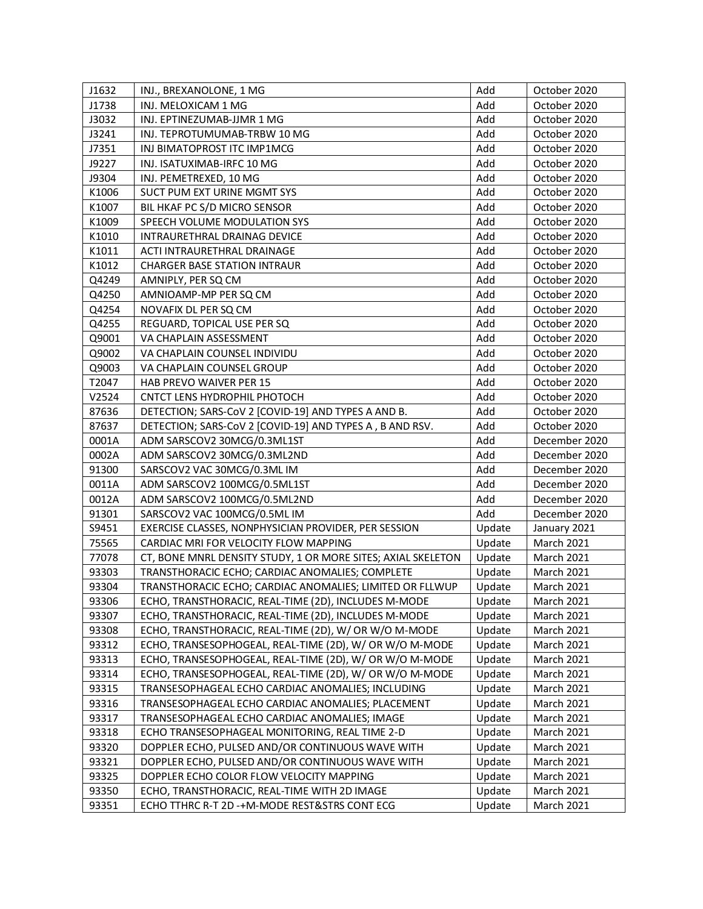| J1632 | INJ., BREXANOLONE, 1 MG                                      | Add    | October 2020      |
|-------|--------------------------------------------------------------|--------|-------------------|
| J1738 | INJ. MELOXICAM 1 MG                                          | Add    | October 2020      |
| J3032 | INJ. EPTINEZUMAB-JJMR 1 MG                                   | Add    | October 2020      |
| J3241 | INJ. TEPROTUMUMAB-TRBW 10 MG                                 | Add    | October 2020      |
| J7351 | INJ BIMATOPROST ITC IMP1MCG                                  | Add    | October 2020      |
| J9227 | INJ. ISATUXIMAB-IRFC 10 MG                                   | Add    | October 2020      |
| J9304 | INJ. PEMETREXED, 10 MG                                       | Add    | October 2020      |
| K1006 | SUCT PUM EXT URINE MGMT SYS                                  | Add    | October 2020      |
| K1007 | BIL HKAF PC S/D MICRO SENSOR                                 | Add    | October 2020      |
| K1009 | SPEECH VOLUME MODULATION SYS                                 | Add    | October 2020      |
| K1010 | INTRAURETHRAL DRAINAG DEVICE                                 | Add    | October 2020      |
| K1011 | ACTI INTRAURETHRAL DRAINAGE                                  | Add    | October 2020      |
| K1012 | <b>CHARGER BASE STATION INTRAUR</b>                          | Add    | October 2020      |
| Q4249 | AMNIPLY, PER SQ CM                                           | Add    | October 2020      |
| Q4250 | AMNIOAMP-MP PER SQ CM                                        | Add    | October 2020      |
| Q4254 | NOVAFIX DL PER SQ CM                                         | Add    | October 2020      |
| Q4255 | REGUARD, TOPICAL USE PER SQ                                  | Add    | October 2020      |
| Q9001 | VA CHAPLAIN ASSESSMENT                                       | Add    | October 2020      |
| Q9002 | VA CHAPLAIN COUNSEL INDIVIDU                                 | Add    | October 2020      |
| Q9003 | VA CHAPLAIN COUNSEL GROUP                                    | Add    | October 2020      |
| T2047 | HAB PREVO WAIVER PER 15                                      | Add    | October 2020      |
| V2524 | CNTCT LENS HYDROPHIL PHOTOCH                                 | Add    | October 2020      |
| 87636 | DETECTION; SARS-CoV 2 [COVID-19] AND TYPES A AND B.          | Add    | October 2020      |
| 87637 | DETECTION; SARS-CoV 2 [COVID-19] AND TYPES A, B AND RSV.     | Add    | October 2020      |
| 0001A | ADM SARSCOV2 30MCG/0.3ML1ST                                  | Add    | December 2020     |
| 0002A | ADM SARSCOV2 30MCG/0.3ML2ND                                  | Add    | December 2020     |
| 91300 | SARSCOV2 VAC 30MCG/0.3ML IM                                  | Add    | December 2020     |
| 0011A | ADM SARSCOV2 100MCG/0.5ML1ST                                 | Add    | December 2020     |
| 0012A | ADM SARSCOV2 100MCG/0.5ML2ND                                 | Add    | December 2020     |
| 91301 | SARSCOV2 VAC 100MCG/0.5ML IM                                 | Add    | December 2020     |
| S9451 | EXERCISE CLASSES, NONPHYSICIAN PROVIDER, PER SESSION         | Update | January 2021      |
| 75565 | CARDIAC MRI FOR VELOCITY FLOW MAPPING                        | Update | <b>March 2021</b> |
| 77078 | CT, BONE MNRL DENSITY STUDY, 1 OR MORE SITES; AXIAL SKELETON | Update | <b>March 2021</b> |
| 93303 | TRANSTHORACIC ECHO; CARDIAC ANOMALIES; COMPLETE              | Update | <b>March 2021</b> |
| 93304 | TRANSTHORACIC ECHO; CARDIAC ANOMALIES; LIMITED OR FLLWUP     | Update | <b>March 2021</b> |
| 93306 | ECHO, TRANSTHORACIC, REAL-TIME (2D), INCLUDES M-MODE         | Update | March 2021        |
| 93307 | ECHO, TRANSTHORACIC, REAL-TIME (2D), INCLUDES M-MODE         | Update | <b>March 2021</b> |
| 93308 | ECHO, TRANSTHORACIC, REAL-TIME (2D), W/ OR W/O M-MODE        | Update | <b>March 2021</b> |
| 93312 | ECHO, TRANSESOPHOGEAL, REAL-TIME (2D), W/ OR W/O M-MODE      | Update | <b>March 2021</b> |
| 93313 | ECHO, TRANSESOPHOGEAL, REAL-TIME (2D), W/ OR W/O M-MODE      | Update | <b>March 2021</b> |
| 93314 | ECHO, TRANSESOPHOGEAL, REAL-TIME (2D), W/ OR W/O M-MODE      | Update | <b>March 2021</b> |
| 93315 | TRANSESOPHAGEAL ECHO CARDIAC ANOMALIES; INCLUDING            | Update | <b>March 2021</b> |
| 93316 | TRANSESOPHAGEAL ECHO CARDIAC ANOMALIES; PLACEMENT            | Update | <b>March 2021</b> |
| 93317 | TRANSESOPHAGEAL ECHO CARDIAC ANOMALIES; IMAGE                | Update | <b>March 2021</b> |
| 93318 | ECHO TRANSESOPHAGEAL MONITORING, REAL TIME 2-D               | Update | <b>March 2021</b> |
| 93320 | DOPPLER ECHO, PULSED AND/OR CONTINUOUS WAVE WITH             | Update | <b>March 2021</b> |
| 93321 | DOPPLER ECHO, PULSED AND/OR CONTINUOUS WAVE WITH             | Update | <b>March 2021</b> |
| 93325 | DOPPLER ECHO COLOR FLOW VELOCITY MAPPING                     | Update | <b>March 2021</b> |
| 93350 | ECHO, TRANSTHORACIC, REAL-TIME WITH 2D IMAGE                 | Update | <b>March 2021</b> |
| 93351 | ECHO TTHRC R-T 2D -+M-MODE REST&STRS CONT ECG                | Update | <b>March 2021</b> |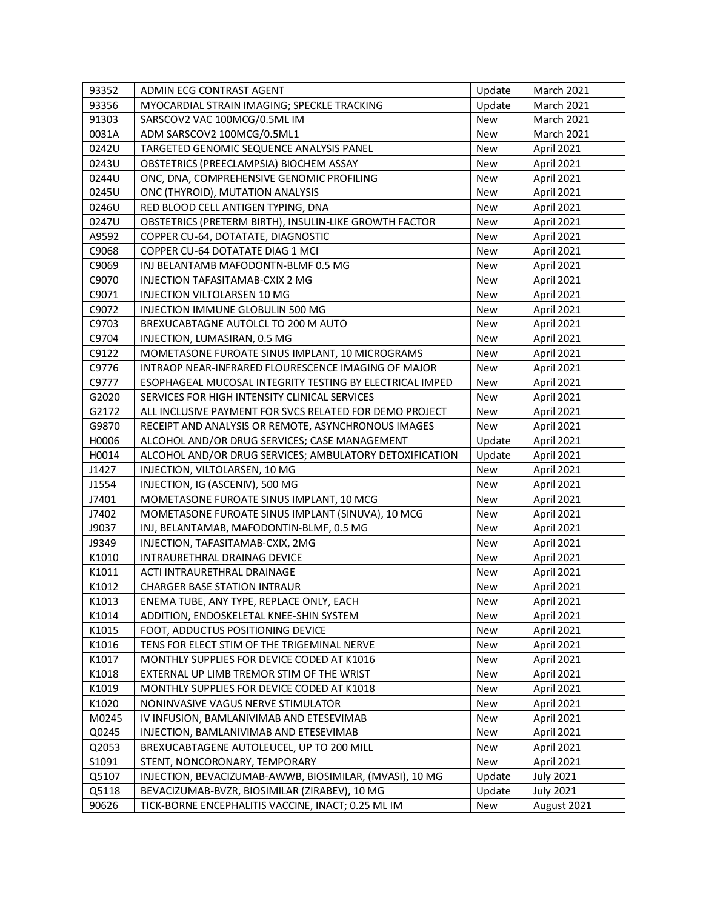| 93356<br>MYOCARDIAL STRAIN IMAGING; SPECKLE TRACKING<br>Update<br><b>March 2021</b><br>91303<br>SARSCOV2 VAC 100MCG/0.5ML IM<br><b>New</b><br><b>March 2021</b><br>0031A<br>ADM SARSCOV2 100MCG/0.5ML1<br><b>New</b><br><b>March 2021</b><br>0242U<br>TARGETED GENOMIC SEQUENCE ANALYSIS PANEL<br>New<br>April 2021<br>0243U<br>OBSTETRICS (PREECLAMPSIA) BIOCHEM ASSAY<br>April 2021<br><b>New</b><br>ONC, DNA, COMPREHENSIVE GENOMIC PROFILING<br>April 2021<br>0244U<br><b>New</b><br>0245U<br>ONC (THYROID), MUTATION ANALYSIS<br>April 2021<br><b>New</b><br>RED BLOOD CELL ANTIGEN TYPING, DNA<br>April 2021<br>0246U<br>New<br>0247U<br>OBSTETRICS (PRETERM BIRTH), INSULIN-LIKE GROWTH FACTOR<br>April 2021<br>New<br>A9592<br>COPPER CU-64, DOTATATE, DIAGNOSTIC<br><b>New</b><br>April 2021<br>C9068<br>COPPER CU-64 DOTATATE DIAG 1 MCI<br><b>New</b><br>April 2021<br>C9069<br>INJ BELANTAMB MAFODONTN-BLMF 0.5 MG<br>New<br>April 2021<br>C9070<br>INJECTION TAFASITAMAB-CXIX 2 MG<br>April 2021<br><b>New</b><br>C9071<br>INJECTION VILTOLARSEN 10 MG<br><b>New</b><br>April 2021<br>C9072<br>INJECTION IMMUNE GLOBULIN 500 MG<br>April 2021<br><b>New</b><br>C9703<br>BREXUCABTAGNE AUTOLCL TO 200 M AUTO<br>April 2021<br><b>New</b><br>C9704<br>INJECTION, LUMASIRAN, 0.5 MG<br>April 2021<br><b>New</b><br>C9122<br>MOMETASONE FUROATE SINUS IMPLANT, 10 MICROGRAMS<br><b>New</b><br>April 2021<br>C9776<br>INTRAOP NEAR-INFRARED FLOURESCENCE IMAGING OF MAJOR<br><b>New</b><br>April 2021<br>C9777<br>ESOPHAGEAL MUCOSAL INTEGRITY TESTING BY ELECTRICAL IMPED<br>New<br>April 2021<br>G2020<br>SERVICES FOR HIGH INTENSITY CLINICAL SERVICES<br>April 2021<br><b>New</b><br>G2172<br>ALL INCLUSIVE PAYMENT FOR SVCS RELATED FOR DEMO PROJECT<br>April 2021<br>New<br>G9870<br>RECEIPT AND ANALYSIS OR REMOTE, ASYNCHRONOUS IMAGES<br>April 2021<br>New<br>H0006<br>ALCOHOL AND/OR DRUG SERVICES; CASE MANAGEMENT<br>Update<br>April 2021<br>ALCOHOL AND/OR DRUG SERVICES; AMBULATORY DETOXIFICATION<br>H0014<br>April 2021<br>Update<br>J1427<br>INJECTION, VILTOLARSEN, 10 MG<br><b>New</b><br>April 2021<br>J1554<br>INJECTION, IG (ASCENIV), 500 MG<br><b>New</b><br>April 2021<br>J7401<br>MOMETASONE FUROATE SINUS IMPLANT, 10 MCG<br>New<br>April 2021<br>J7402<br>MOMETASONE FUROATE SINUS IMPLANT (SINUVA), 10 MCG<br>New<br>April 2021<br>J9037<br>INJ, BELANTAMAB, MAFODONTIN-BLMF, 0.5 MG<br><b>New</b><br>April 2021<br>J9349<br>INJECTION, TAFASITAMAB-CXIX, 2MG<br><b>New</b><br>April 2021<br>K1010<br>INTRAURETHRAL DRAINAG DEVICE<br>April 2021<br><b>New</b><br>K1011<br>April 2021<br>ACTI INTRAURETHRAL DRAINAGE<br><b>New</b><br>April 2021<br>K1012<br><b>CHARGER BASE STATION INTRAUR</b><br>New<br>April 2021<br>K1013<br>ENEMA TUBE, ANY TYPE, REPLACE ONLY, EACH<br>New<br>K1014<br>April 2021<br>ADDITION, ENDOSKELETAL KNEE-SHIN SYSTEM<br>New<br>K1015<br>New<br>April 2021<br>FOOT, ADDUCTUS POSITIONING DEVICE<br>K1016<br>TENS FOR ELECT STIM OF THE TRIGEMINAL NERVE<br>New<br>April 2021<br>K1017<br>MONTHLY SUPPLIES FOR DEVICE CODED AT K1016<br>New<br>April 2021<br>K1018<br>EXTERNAL UP LIMB TREMOR STIM OF THE WRIST<br>April 2021<br>New<br>K1019<br>MONTHLY SUPPLIES FOR DEVICE CODED AT K1018<br>New<br>April 2021<br>K1020<br>April 2021<br>NONINVASIVE VAGUS NERVE STIMULATOR<br>New<br>M0245<br>April 2021<br>IV INFUSION, BAMLANIVIMAB AND ETESEVIMAB<br>New<br>Q0245<br>New<br>April 2021<br>INJECTION, BAMLANIVIMAB AND ETESEVIMAB<br>Q2053<br>BREXUCABTAGENE AUTOLEUCEL, UP TO 200 MILL<br>New<br>April 2021<br>S1091<br>STENT, NONCORONARY, TEMPORARY<br>New<br>April 2021<br>Q5107<br><b>July 2021</b><br>INJECTION, BEVACIZUMAB-AWWB, BIOSIMILAR, (MVASI), 10 MG<br>Update<br>Q5118<br>BEVACIZUMAB-BVZR, BIOSIMILAR (ZIRABEV), 10 MG<br><b>July 2021</b><br>Update | 93352 | ADMIN ECG CONTRAST AGENT                           | Update | <b>March 2021</b> |
|----------------------------------------------------------------------------------------------------------------------------------------------------------------------------------------------------------------------------------------------------------------------------------------------------------------------------------------------------------------------------------------------------------------------------------------------------------------------------------------------------------------------------------------------------------------------------------------------------------------------------------------------------------------------------------------------------------------------------------------------------------------------------------------------------------------------------------------------------------------------------------------------------------------------------------------------------------------------------------------------------------------------------------------------------------------------------------------------------------------------------------------------------------------------------------------------------------------------------------------------------------------------------------------------------------------------------------------------------------------------------------------------------------------------------------------------------------------------------------------------------------------------------------------------------------------------------------------------------------------------------------------------------------------------------------------------------------------------------------------------------------------------------------------------------------------------------------------------------------------------------------------------------------------------------------------------------------------------------------------------------------------------------------------------------------------------------------------------------------------------------------------------------------------------------------------------------------------------------------------------------------------------------------------------------------------------------------------------------------------------------------------------------------------------------------------------------------------------------------------------------------------------------------------------------------------------------------------------------------------------------------------------------------------------------------------------------------------------------------------------------------------------------------------------------------------------------------------------------------------------------------------------------------------------------------------------------------------------------------------------------------------------------------------------------------------------------------------------------------------------------------------------------------------------------------------------------------------------------------------------------------------------------------------------------------------------------------------------------------------------------------------------------------------------------------------------------------------------------------------------------------------------------------------------------------------------------------------------------------------------------------------------------------------------------------------------------------------------------------------------------------------------------------------------------------------------------------------------|-------|----------------------------------------------------|--------|-------------------|
|                                                                                                                                                                                                                                                                                                                                                                                                                                                                                                                                                                                                                                                                                                                                                                                                                                                                                                                                                                                                                                                                                                                                                                                                                                                                                                                                                                                                                                                                                                                                                                                                                                                                                                                                                                                                                                                                                                                                                                                                                                                                                                                                                                                                                                                                                                                                                                                                                                                                                                                                                                                                                                                                                                                                                                                                                                                                                                                                                                                                                                                                                                                                                                                                                                                                                                                                                                                                                                                                                                                                                                                                                                                                                                                                                                                                                                              |       |                                                    |        |                   |
|                                                                                                                                                                                                                                                                                                                                                                                                                                                                                                                                                                                                                                                                                                                                                                                                                                                                                                                                                                                                                                                                                                                                                                                                                                                                                                                                                                                                                                                                                                                                                                                                                                                                                                                                                                                                                                                                                                                                                                                                                                                                                                                                                                                                                                                                                                                                                                                                                                                                                                                                                                                                                                                                                                                                                                                                                                                                                                                                                                                                                                                                                                                                                                                                                                                                                                                                                                                                                                                                                                                                                                                                                                                                                                                                                                                                                                              |       |                                                    |        |                   |
|                                                                                                                                                                                                                                                                                                                                                                                                                                                                                                                                                                                                                                                                                                                                                                                                                                                                                                                                                                                                                                                                                                                                                                                                                                                                                                                                                                                                                                                                                                                                                                                                                                                                                                                                                                                                                                                                                                                                                                                                                                                                                                                                                                                                                                                                                                                                                                                                                                                                                                                                                                                                                                                                                                                                                                                                                                                                                                                                                                                                                                                                                                                                                                                                                                                                                                                                                                                                                                                                                                                                                                                                                                                                                                                                                                                                                                              |       |                                                    |        |                   |
|                                                                                                                                                                                                                                                                                                                                                                                                                                                                                                                                                                                                                                                                                                                                                                                                                                                                                                                                                                                                                                                                                                                                                                                                                                                                                                                                                                                                                                                                                                                                                                                                                                                                                                                                                                                                                                                                                                                                                                                                                                                                                                                                                                                                                                                                                                                                                                                                                                                                                                                                                                                                                                                                                                                                                                                                                                                                                                                                                                                                                                                                                                                                                                                                                                                                                                                                                                                                                                                                                                                                                                                                                                                                                                                                                                                                                                              |       |                                                    |        |                   |
|                                                                                                                                                                                                                                                                                                                                                                                                                                                                                                                                                                                                                                                                                                                                                                                                                                                                                                                                                                                                                                                                                                                                                                                                                                                                                                                                                                                                                                                                                                                                                                                                                                                                                                                                                                                                                                                                                                                                                                                                                                                                                                                                                                                                                                                                                                                                                                                                                                                                                                                                                                                                                                                                                                                                                                                                                                                                                                                                                                                                                                                                                                                                                                                                                                                                                                                                                                                                                                                                                                                                                                                                                                                                                                                                                                                                                                              |       |                                                    |        |                   |
|                                                                                                                                                                                                                                                                                                                                                                                                                                                                                                                                                                                                                                                                                                                                                                                                                                                                                                                                                                                                                                                                                                                                                                                                                                                                                                                                                                                                                                                                                                                                                                                                                                                                                                                                                                                                                                                                                                                                                                                                                                                                                                                                                                                                                                                                                                                                                                                                                                                                                                                                                                                                                                                                                                                                                                                                                                                                                                                                                                                                                                                                                                                                                                                                                                                                                                                                                                                                                                                                                                                                                                                                                                                                                                                                                                                                                                              |       |                                                    |        |                   |
|                                                                                                                                                                                                                                                                                                                                                                                                                                                                                                                                                                                                                                                                                                                                                                                                                                                                                                                                                                                                                                                                                                                                                                                                                                                                                                                                                                                                                                                                                                                                                                                                                                                                                                                                                                                                                                                                                                                                                                                                                                                                                                                                                                                                                                                                                                                                                                                                                                                                                                                                                                                                                                                                                                                                                                                                                                                                                                                                                                                                                                                                                                                                                                                                                                                                                                                                                                                                                                                                                                                                                                                                                                                                                                                                                                                                                                              |       |                                                    |        |                   |
|                                                                                                                                                                                                                                                                                                                                                                                                                                                                                                                                                                                                                                                                                                                                                                                                                                                                                                                                                                                                                                                                                                                                                                                                                                                                                                                                                                                                                                                                                                                                                                                                                                                                                                                                                                                                                                                                                                                                                                                                                                                                                                                                                                                                                                                                                                                                                                                                                                                                                                                                                                                                                                                                                                                                                                                                                                                                                                                                                                                                                                                                                                                                                                                                                                                                                                                                                                                                                                                                                                                                                                                                                                                                                                                                                                                                                                              |       |                                                    |        |                   |
|                                                                                                                                                                                                                                                                                                                                                                                                                                                                                                                                                                                                                                                                                                                                                                                                                                                                                                                                                                                                                                                                                                                                                                                                                                                                                                                                                                                                                                                                                                                                                                                                                                                                                                                                                                                                                                                                                                                                                                                                                                                                                                                                                                                                                                                                                                                                                                                                                                                                                                                                                                                                                                                                                                                                                                                                                                                                                                                                                                                                                                                                                                                                                                                                                                                                                                                                                                                                                                                                                                                                                                                                                                                                                                                                                                                                                                              |       |                                                    |        |                   |
|                                                                                                                                                                                                                                                                                                                                                                                                                                                                                                                                                                                                                                                                                                                                                                                                                                                                                                                                                                                                                                                                                                                                                                                                                                                                                                                                                                                                                                                                                                                                                                                                                                                                                                                                                                                                                                                                                                                                                                                                                                                                                                                                                                                                                                                                                                                                                                                                                                                                                                                                                                                                                                                                                                                                                                                                                                                                                                                                                                                                                                                                                                                                                                                                                                                                                                                                                                                                                                                                                                                                                                                                                                                                                                                                                                                                                                              |       |                                                    |        |                   |
|                                                                                                                                                                                                                                                                                                                                                                                                                                                                                                                                                                                                                                                                                                                                                                                                                                                                                                                                                                                                                                                                                                                                                                                                                                                                                                                                                                                                                                                                                                                                                                                                                                                                                                                                                                                                                                                                                                                                                                                                                                                                                                                                                                                                                                                                                                                                                                                                                                                                                                                                                                                                                                                                                                                                                                                                                                                                                                                                                                                                                                                                                                                                                                                                                                                                                                                                                                                                                                                                                                                                                                                                                                                                                                                                                                                                                                              |       |                                                    |        |                   |
|                                                                                                                                                                                                                                                                                                                                                                                                                                                                                                                                                                                                                                                                                                                                                                                                                                                                                                                                                                                                                                                                                                                                                                                                                                                                                                                                                                                                                                                                                                                                                                                                                                                                                                                                                                                                                                                                                                                                                                                                                                                                                                                                                                                                                                                                                                                                                                                                                                                                                                                                                                                                                                                                                                                                                                                                                                                                                                                                                                                                                                                                                                                                                                                                                                                                                                                                                                                                                                                                                                                                                                                                                                                                                                                                                                                                                                              |       |                                                    |        |                   |
|                                                                                                                                                                                                                                                                                                                                                                                                                                                                                                                                                                                                                                                                                                                                                                                                                                                                                                                                                                                                                                                                                                                                                                                                                                                                                                                                                                                                                                                                                                                                                                                                                                                                                                                                                                                                                                                                                                                                                                                                                                                                                                                                                                                                                                                                                                                                                                                                                                                                                                                                                                                                                                                                                                                                                                                                                                                                                                                                                                                                                                                                                                                                                                                                                                                                                                                                                                                                                                                                                                                                                                                                                                                                                                                                                                                                                                              |       |                                                    |        |                   |
|                                                                                                                                                                                                                                                                                                                                                                                                                                                                                                                                                                                                                                                                                                                                                                                                                                                                                                                                                                                                                                                                                                                                                                                                                                                                                                                                                                                                                                                                                                                                                                                                                                                                                                                                                                                                                                                                                                                                                                                                                                                                                                                                                                                                                                                                                                                                                                                                                                                                                                                                                                                                                                                                                                                                                                                                                                                                                                                                                                                                                                                                                                                                                                                                                                                                                                                                                                                                                                                                                                                                                                                                                                                                                                                                                                                                                                              |       |                                                    |        |                   |
|                                                                                                                                                                                                                                                                                                                                                                                                                                                                                                                                                                                                                                                                                                                                                                                                                                                                                                                                                                                                                                                                                                                                                                                                                                                                                                                                                                                                                                                                                                                                                                                                                                                                                                                                                                                                                                                                                                                                                                                                                                                                                                                                                                                                                                                                                                                                                                                                                                                                                                                                                                                                                                                                                                                                                                                                                                                                                                                                                                                                                                                                                                                                                                                                                                                                                                                                                                                                                                                                                                                                                                                                                                                                                                                                                                                                                                              |       |                                                    |        |                   |
|                                                                                                                                                                                                                                                                                                                                                                                                                                                                                                                                                                                                                                                                                                                                                                                                                                                                                                                                                                                                                                                                                                                                                                                                                                                                                                                                                                                                                                                                                                                                                                                                                                                                                                                                                                                                                                                                                                                                                                                                                                                                                                                                                                                                                                                                                                                                                                                                                                                                                                                                                                                                                                                                                                                                                                                                                                                                                                                                                                                                                                                                                                                                                                                                                                                                                                                                                                                                                                                                                                                                                                                                                                                                                                                                                                                                                                              |       |                                                    |        |                   |
|                                                                                                                                                                                                                                                                                                                                                                                                                                                                                                                                                                                                                                                                                                                                                                                                                                                                                                                                                                                                                                                                                                                                                                                                                                                                                                                                                                                                                                                                                                                                                                                                                                                                                                                                                                                                                                                                                                                                                                                                                                                                                                                                                                                                                                                                                                                                                                                                                                                                                                                                                                                                                                                                                                                                                                                                                                                                                                                                                                                                                                                                                                                                                                                                                                                                                                                                                                                                                                                                                                                                                                                                                                                                                                                                                                                                                                              |       |                                                    |        |                   |
|                                                                                                                                                                                                                                                                                                                                                                                                                                                                                                                                                                                                                                                                                                                                                                                                                                                                                                                                                                                                                                                                                                                                                                                                                                                                                                                                                                                                                                                                                                                                                                                                                                                                                                                                                                                                                                                                                                                                                                                                                                                                                                                                                                                                                                                                                                                                                                                                                                                                                                                                                                                                                                                                                                                                                                                                                                                                                                                                                                                                                                                                                                                                                                                                                                                                                                                                                                                                                                                                                                                                                                                                                                                                                                                                                                                                                                              |       |                                                    |        |                   |
|                                                                                                                                                                                                                                                                                                                                                                                                                                                                                                                                                                                                                                                                                                                                                                                                                                                                                                                                                                                                                                                                                                                                                                                                                                                                                                                                                                                                                                                                                                                                                                                                                                                                                                                                                                                                                                                                                                                                                                                                                                                                                                                                                                                                                                                                                                                                                                                                                                                                                                                                                                                                                                                                                                                                                                                                                                                                                                                                                                                                                                                                                                                                                                                                                                                                                                                                                                                                                                                                                                                                                                                                                                                                                                                                                                                                                                              |       |                                                    |        |                   |
|                                                                                                                                                                                                                                                                                                                                                                                                                                                                                                                                                                                                                                                                                                                                                                                                                                                                                                                                                                                                                                                                                                                                                                                                                                                                                                                                                                                                                                                                                                                                                                                                                                                                                                                                                                                                                                                                                                                                                                                                                                                                                                                                                                                                                                                                                                                                                                                                                                                                                                                                                                                                                                                                                                                                                                                                                                                                                                                                                                                                                                                                                                                                                                                                                                                                                                                                                                                                                                                                                                                                                                                                                                                                                                                                                                                                                                              |       |                                                    |        |                   |
|                                                                                                                                                                                                                                                                                                                                                                                                                                                                                                                                                                                                                                                                                                                                                                                                                                                                                                                                                                                                                                                                                                                                                                                                                                                                                                                                                                                                                                                                                                                                                                                                                                                                                                                                                                                                                                                                                                                                                                                                                                                                                                                                                                                                                                                                                                                                                                                                                                                                                                                                                                                                                                                                                                                                                                                                                                                                                                                                                                                                                                                                                                                                                                                                                                                                                                                                                                                                                                                                                                                                                                                                                                                                                                                                                                                                                                              |       |                                                    |        |                   |
|                                                                                                                                                                                                                                                                                                                                                                                                                                                                                                                                                                                                                                                                                                                                                                                                                                                                                                                                                                                                                                                                                                                                                                                                                                                                                                                                                                                                                                                                                                                                                                                                                                                                                                                                                                                                                                                                                                                                                                                                                                                                                                                                                                                                                                                                                                                                                                                                                                                                                                                                                                                                                                                                                                                                                                                                                                                                                                                                                                                                                                                                                                                                                                                                                                                                                                                                                                                                                                                                                                                                                                                                                                                                                                                                                                                                                                              |       |                                                    |        |                   |
|                                                                                                                                                                                                                                                                                                                                                                                                                                                                                                                                                                                                                                                                                                                                                                                                                                                                                                                                                                                                                                                                                                                                                                                                                                                                                                                                                                                                                                                                                                                                                                                                                                                                                                                                                                                                                                                                                                                                                                                                                                                                                                                                                                                                                                                                                                                                                                                                                                                                                                                                                                                                                                                                                                                                                                                                                                                                                                                                                                                                                                                                                                                                                                                                                                                                                                                                                                                                                                                                                                                                                                                                                                                                                                                                                                                                                                              |       |                                                    |        |                   |
|                                                                                                                                                                                                                                                                                                                                                                                                                                                                                                                                                                                                                                                                                                                                                                                                                                                                                                                                                                                                                                                                                                                                                                                                                                                                                                                                                                                                                                                                                                                                                                                                                                                                                                                                                                                                                                                                                                                                                                                                                                                                                                                                                                                                                                                                                                                                                                                                                                                                                                                                                                                                                                                                                                                                                                                                                                                                                                                                                                                                                                                                                                                                                                                                                                                                                                                                                                                                                                                                                                                                                                                                                                                                                                                                                                                                                                              |       |                                                    |        |                   |
|                                                                                                                                                                                                                                                                                                                                                                                                                                                                                                                                                                                                                                                                                                                                                                                                                                                                                                                                                                                                                                                                                                                                                                                                                                                                                                                                                                                                                                                                                                                                                                                                                                                                                                                                                                                                                                                                                                                                                                                                                                                                                                                                                                                                                                                                                                                                                                                                                                                                                                                                                                                                                                                                                                                                                                                                                                                                                                                                                                                                                                                                                                                                                                                                                                                                                                                                                                                                                                                                                                                                                                                                                                                                                                                                                                                                                                              |       |                                                    |        |                   |
|                                                                                                                                                                                                                                                                                                                                                                                                                                                                                                                                                                                                                                                                                                                                                                                                                                                                                                                                                                                                                                                                                                                                                                                                                                                                                                                                                                                                                                                                                                                                                                                                                                                                                                                                                                                                                                                                                                                                                                                                                                                                                                                                                                                                                                                                                                                                                                                                                                                                                                                                                                                                                                                                                                                                                                                                                                                                                                                                                                                                                                                                                                                                                                                                                                                                                                                                                                                                                                                                                                                                                                                                                                                                                                                                                                                                                                              |       |                                                    |        |                   |
|                                                                                                                                                                                                                                                                                                                                                                                                                                                                                                                                                                                                                                                                                                                                                                                                                                                                                                                                                                                                                                                                                                                                                                                                                                                                                                                                                                                                                                                                                                                                                                                                                                                                                                                                                                                                                                                                                                                                                                                                                                                                                                                                                                                                                                                                                                                                                                                                                                                                                                                                                                                                                                                                                                                                                                                                                                                                                                                                                                                                                                                                                                                                                                                                                                                                                                                                                                                                                                                                                                                                                                                                                                                                                                                                                                                                                                              |       |                                                    |        |                   |
|                                                                                                                                                                                                                                                                                                                                                                                                                                                                                                                                                                                                                                                                                                                                                                                                                                                                                                                                                                                                                                                                                                                                                                                                                                                                                                                                                                                                                                                                                                                                                                                                                                                                                                                                                                                                                                                                                                                                                                                                                                                                                                                                                                                                                                                                                                                                                                                                                                                                                                                                                                                                                                                                                                                                                                                                                                                                                                                                                                                                                                                                                                                                                                                                                                                                                                                                                                                                                                                                                                                                                                                                                                                                                                                                                                                                                                              |       |                                                    |        |                   |
|                                                                                                                                                                                                                                                                                                                                                                                                                                                                                                                                                                                                                                                                                                                                                                                                                                                                                                                                                                                                                                                                                                                                                                                                                                                                                                                                                                                                                                                                                                                                                                                                                                                                                                                                                                                                                                                                                                                                                                                                                                                                                                                                                                                                                                                                                                                                                                                                                                                                                                                                                                                                                                                                                                                                                                                                                                                                                                                                                                                                                                                                                                                                                                                                                                                                                                                                                                                                                                                                                                                                                                                                                                                                                                                                                                                                                                              |       |                                                    |        |                   |
|                                                                                                                                                                                                                                                                                                                                                                                                                                                                                                                                                                                                                                                                                                                                                                                                                                                                                                                                                                                                                                                                                                                                                                                                                                                                                                                                                                                                                                                                                                                                                                                                                                                                                                                                                                                                                                                                                                                                                                                                                                                                                                                                                                                                                                                                                                                                                                                                                                                                                                                                                                                                                                                                                                                                                                                                                                                                                                                                                                                                                                                                                                                                                                                                                                                                                                                                                                                                                                                                                                                                                                                                                                                                                                                                                                                                                                              |       |                                                    |        |                   |
|                                                                                                                                                                                                                                                                                                                                                                                                                                                                                                                                                                                                                                                                                                                                                                                                                                                                                                                                                                                                                                                                                                                                                                                                                                                                                                                                                                                                                                                                                                                                                                                                                                                                                                                                                                                                                                                                                                                                                                                                                                                                                                                                                                                                                                                                                                                                                                                                                                                                                                                                                                                                                                                                                                                                                                                                                                                                                                                                                                                                                                                                                                                                                                                                                                                                                                                                                                                                                                                                                                                                                                                                                                                                                                                                                                                                                                              |       |                                                    |        |                   |
|                                                                                                                                                                                                                                                                                                                                                                                                                                                                                                                                                                                                                                                                                                                                                                                                                                                                                                                                                                                                                                                                                                                                                                                                                                                                                                                                                                                                                                                                                                                                                                                                                                                                                                                                                                                                                                                                                                                                                                                                                                                                                                                                                                                                                                                                                                                                                                                                                                                                                                                                                                                                                                                                                                                                                                                                                                                                                                                                                                                                                                                                                                                                                                                                                                                                                                                                                                                                                                                                                                                                                                                                                                                                                                                                                                                                                                              |       |                                                    |        |                   |
|                                                                                                                                                                                                                                                                                                                                                                                                                                                                                                                                                                                                                                                                                                                                                                                                                                                                                                                                                                                                                                                                                                                                                                                                                                                                                                                                                                                                                                                                                                                                                                                                                                                                                                                                                                                                                                                                                                                                                                                                                                                                                                                                                                                                                                                                                                                                                                                                                                                                                                                                                                                                                                                                                                                                                                                                                                                                                                                                                                                                                                                                                                                                                                                                                                                                                                                                                                                                                                                                                                                                                                                                                                                                                                                                                                                                                                              |       |                                                    |        |                   |
|                                                                                                                                                                                                                                                                                                                                                                                                                                                                                                                                                                                                                                                                                                                                                                                                                                                                                                                                                                                                                                                                                                                                                                                                                                                                                                                                                                                                                                                                                                                                                                                                                                                                                                                                                                                                                                                                                                                                                                                                                                                                                                                                                                                                                                                                                                                                                                                                                                                                                                                                                                                                                                                                                                                                                                                                                                                                                                                                                                                                                                                                                                                                                                                                                                                                                                                                                                                                                                                                                                                                                                                                                                                                                                                                                                                                                                              |       |                                                    |        |                   |
|                                                                                                                                                                                                                                                                                                                                                                                                                                                                                                                                                                                                                                                                                                                                                                                                                                                                                                                                                                                                                                                                                                                                                                                                                                                                                                                                                                                                                                                                                                                                                                                                                                                                                                                                                                                                                                                                                                                                                                                                                                                                                                                                                                                                                                                                                                                                                                                                                                                                                                                                                                                                                                                                                                                                                                                                                                                                                                                                                                                                                                                                                                                                                                                                                                                                                                                                                                                                                                                                                                                                                                                                                                                                                                                                                                                                                                              |       |                                                    |        |                   |
|                                                                                                                                                                                                                                                                                                                                                                                                                                                                                                                                                                                                                                                                                                                                                                                                                                                                                                                                                                                                                                                                                                                                                                                                                                                                                                                                                                                                                                                                                                                                                                                                                                                                                                                                                                                                                                                                                                                                                                                                                                                                                                                                                                                                                                                                                                                                                                                                                                                                                                                                                                                                                                                                                                                                                                                                                                                                                                                                                                                                                                                                                                                                                                                                                                                                                                                                                                                                                                                                                                                                                                                                                                                                                                                                                                                                                                              |       |                                                    |        |                   |
|                                                                                                                                                                                                                                                                                                                                                                                                                                                                                                                                                                                                                                                                                                                                                                                                                                                                                                                                                                                                                                                                                                                                                                                                                                                                                                                                                                                                                                                                                                                                                                                                                                                                                                                                                                                                                                                                                                                                                                                                                                                                                                                                                                                                                                                                                                                                                                                                                                                                                                                                                                                                                                                                                                                                                                                                                                                                                                                                                                                                                                                                                                                                                                                                                                                                                                                                                                                                                                                                                                                                                                                                                                                                                                                                                                                                                                              |       |                                                    |        |                   |
|                                                                                                                                                                                                                                                                                                                                                                                                                                                                                                                                                                                                                                                                                                                                                                                                                                                                                                                                                                                                                                                                                                                                                                                                                                                                                                                                                                                                                                                                                                                                                                                                                                                                                                                                                                                                                                                                                                                                                                                                                                                                                                                                                                                                                                                                                                                                                                                                                                                                                                                                                                                                                                                                                                                                                                                                                                                                                                                                                                                                                                                                                                                                                                                                                                                                                                                                                                                                                                                                                                                                                                                                                                                                                                                                                                                                                                              |       |                                                    |        |                   |
|                                                                                                                                                                                                                                                                                                                                                                                                                                                                                                                                                                                                                                                                                                                                                                                                                                                                                                                                                                                                                                                                                                                                                                                                                                                                                                                                                                                                                                                                                                                                                                                                                                                                                                                                                                                                                                                                                                                                                                                                                                                                                                                                                                                                                                                                                                                                                                                                                                                                                                                                                                                                                                                                                                                                                                                                                                                                                                                                                                                                                                                                                                                                                                                                                                                                                                                                                                                                                                                                                                                                                                                                                                                                                                                                                                                                                                              |       |                                                    |        |                   |
|                                                                                                                                                                                                                                                                                                                                                                                                                                                                                                                                                                                                                                                                                                                                                                                                                                                                                                                                                                                                                                                                                                                                                                                                                                                                                                                                                                                                                                                                                                                                                                                                                                                                                                                                                                                                                                                                                                                                                                                                                                                                                                                                                                                                                                                                                                                                                                                                                                                                                                                                                                                                                                                                                                                                                                                                                                                                                                                                                                                                                                                                                                                                                                                                                                                                                                                                                                                                                                                                                                                                                                                                                                                                                                                                                                                                                                              |       |                                                    |        |                   |
|                                                                                                                                                                                                                                                                                                                                                                                                                                                                                                                                                                                                                                                                                                                                                                                                                                                                                                                                                                                                                                                                                                                                                                                                                                                                                                                                                                                                                                                                                                                                                                                                                                                                                                                                                                                                                                                                                                                                                                                                                                                                                                                                                                                                                                                                                                                                                                                                                                                                                                                                                                                                                                                                                                                                                                                                                                                                                                                                                                                                                                                                                                                                                                                                                                                                                                                                                                                                                                                                                                                                                                                                                                                                                                                                                                                                                                              |       |                                                    |        |                   |
|                                                                                                                                                                                                                                                                                                                                                                                                                                                                                                                                                                                                                                                                                                                                                                                                                                                                                                                                                                                                                                                                                                                                                                                                                                                                                                                                                                                                                                                                                                                                                                                                                                                                                                                                                                                                                                                                                                                                                                                                                                                                                                                                                                                                                                                                                                                                                                                                                                                                                                                                                                                                                                                                                                                                                                                                                                                                                                                                                                                                                                                                                                                                                                                                                                                                                                                                                                                                                                                                                                                                                                                                                                                                                                                                                                                                                                              |       |                                                    |        |                   |
|                                                                                                                                                                                                                                                                                                                                                                                                                                                                                                                                                                                                                                                                                                                                                                                                                                                                                                                                                                                                                                                                                                                                                                                                                                                                                                                                                                                                                                                                                                                                                                                                                                                                                                                                                                                                                                                                                                                                                                                                                                                                                                                                                                                                                                                                                                                                                                                                                                                                                                                                                                                                                                                                                                                                                                                                                                                                                                                                                                                                                                                                                                                                                                                                                                                                                                                                                                                                                                                                                                                                                                                                                                                                                                                                                                                                                                              |       |                                                    |        |                   |
|                                                                                                                                                                                                                                                                                                                                                                                                                                                                                                                                                                                                                                                                                                                                                                                                                                                                                                                                                                                                                                                                                                                                                                                                                                                                                                                                                                                                                                                                                                                                                                                                                                                                                                                                                                                                                                                                                                                                                                                                                                                                                                                                                                                                                                                                                                                                                                                                                                                                                                                                                                                                                                                                                                                                                                                                                                                                                                                                                                                                                                                                                                                                                                                                                                                                                                                                                                                                                                                                                                                                                                                                                                                                                                                                                                                                                                              |       |                                                    |        |                   |
|                                                                                                                                                                                                                                                                                                                                                                                                                                                                                                                                                                                                                                                                                                                                                                                                                                                                                                                                                                                                                                                                                                                                                                                                                                                                                                                                                                                                                                                                                                                                                                                                                                                                                                                                                                                                                                                                                                                                                                                                                                                                                                                                                                                                                                                                                                                                                                                                                                                                                                                                                                                                                                                                                                                                                                                                                                                                                                                                                                                                                                                                                                                                                                                                                                                                                                                                                                                                                                                                                                                                                                                                                                                                                                                                                                                                                                              |       |                                                    |        |                   |
|                                                                                                                                                                                                                                                                                                                                                                                                                                                                                                                                                                                                                                                                                                                                                                                                                                                                                                                                                                                                                                                                                                                                                                                                                                                                                                                                                                                                                                                                                                                                                                                                                                                                                                                                                                                                                                                                                                                                                                                                                                                                                                                                                                                                                                                                                                                                                                                                                                                                                                                                                                                                                                                                                                                                                                                                                                                                                                                                                                                                                                                                                                                                                                                                                                                                                                                                                                                                                                                                                                                                                                                                                                                                                                                                                                                                                                              |       |                                                    |        |                   |
|                                                                                                                                                                                                                                                                                                                                                                                                                                                                                                                                                                                                                                                                                                                                                                                                                                                                                                                                                                                                                                                                                                                                                                                                                                                                                                                                                                                                                                                                                                                                                                                                                                                                                                                                                                                                                                                                                                                                                                                                                                                                                                                                                                                                                                                                                                                                                                                                                                                                                                                                                                                                                                                                                                                                                                                                                                                                                                                                                                                                                                                                                                                                                                                                                                                                                                                                                                                                                                                                                                                                                                                                                                                                                                                                                                                                                                              |       |                                                    |        |                   |
|                                                                                                                                                                                                                                                                                                                                                                                                                                                                                                                                                                                                                                                                                                                                                                                                                                                                                                                                                                                                                                                                                                                                                                                                                                                                                                                                                                                                                                                                                                                                                                                                                                                                                                                                                                                                                                                                                                                                                                                                                                                                                                                                                                                                                                                                                                                                                                                                                                                                                                                                                                                                                                                                                                                                                                                                                                                                                                                                                                                                                                                                                                                                                                                                                                                                                                                                                                                                                                                                                                                                                                                                                                                                                                                                                                                                                                              |       |                                                    |        |                   |
|                                                                                                                                                                                                                                                                                                                                                                                                                                                                                                                                                                                                                                                                                                                                                                                                                                                                                                                                                                                                                                                                                                                                                                                                                                                                                                                                                                                                                                                                                                                                                                                                                                                                                                                                                                                                                                                                                                                                                                                                                                                                                                                                                                                                                                                                                                                                                                                                                                                                                                                                                                                                                                                                                                                                                                                                                                                                                                                                                                                                                                                                                                                                                                                                                                                                                                                                                                                                                                                                                                                                                                                                                                                                                                                                                                                                                                              | 90626 | TICK-BORNE ENCEPHALITIS VACCINE, INACT; 0.25 ML IM | New    | August 2021       |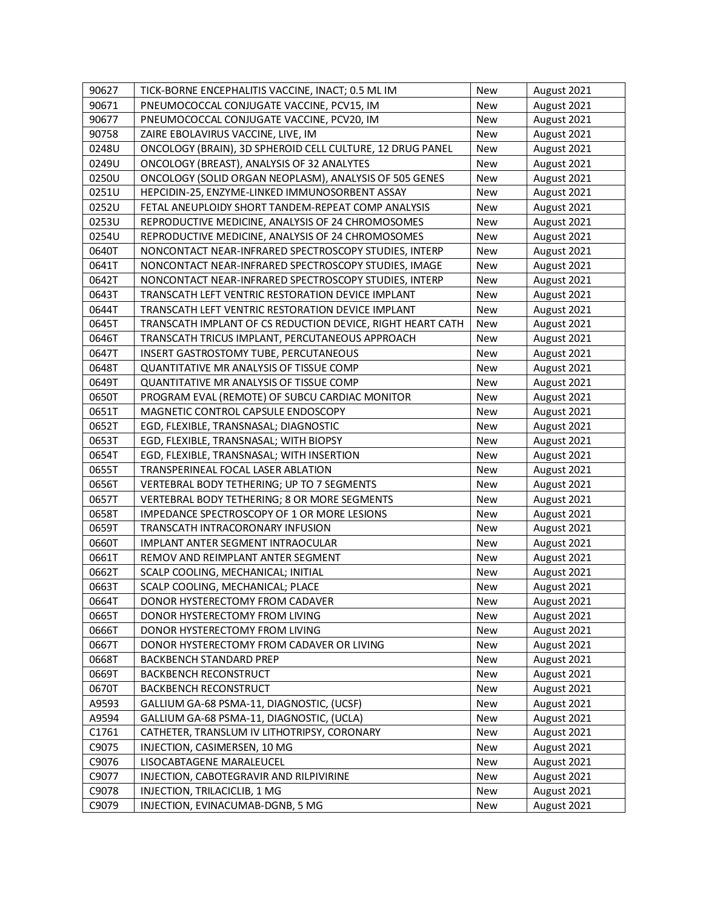| 90627 | TICK-BORNE ENCEPHALITIS VACCINE, INACT; 0.5 ML IM          | New        | August 2021 |
|-------|------------------------------------------------------------|------------|-------------|
| 90671 | PNEUMOCOCCAL CONJUGATE VACCINE, PCV15, IM                  | New        | August 2021 |
| 90677 | PNEUMOCOCCAL CONJUGATE VACCINE, PCV20, IM                  | <b>New</b> | August 2021 |
| 90758 | ZAIRE EBOLAVIRUS VACCINE, LIVE, IM                         | <b>New</b> | August 2021 |
| 0248U | ONCOLOGY (BRAIN), 3D SPHEROID CELL CULTURE, 12 DRUG PANEL  | <b>New</b> | August 2021 |
| 0249U | ONCOLOGY (BREAST), ANALYSIS OF 32 ANALYTES                 | <b>New</b> | August 2021 |
| 0250U | ONCOLOGY (SOLID ORGAN NEOPLASM), ANALYSIS OF 505 GENES     | <b>New</b> | August 2021 |
| 0251U | HEPCIDIN-25, ENZYME-LINKED IMMUNOSORBENT ASSAY             | New        | August 2021 |
| 0252U | FETAL ANEUPLOIDY SHORT TANDEM-REPEAT COMP ANALYSIS         | New        | August 2021 |
| 0253U | REPRODUCTIVE MEDICINE, ANALYSIS OF 24 CHROMOSOMES          | <b>New</b> | August 2021 |
| 0254U | REPRODUCTIVE MEDICINE, ANALYSIS OF 24 CHROMOSOMES          | <b>New</b> | August 2021 |
| 0640T | NONCONTACT NEAR-INFRARED SPECTROSCOPY STUDIES, INTERP      | <b>New</b> | August 2021 |
| 0641T | NONCONTACT NEAR-INFRARED SPECTROSCOPY STUDIES, IMAGE       | <b>New</b> | August 2021 |
| 0642T | NONCONTACT NEAR-INFRARED SPECTROSCOPY STUDIES, INTERP      | <b>New</b> | August 2021 |
| 0643T | TRANSCATH LEFT VENTRIC RESTORATION DEVICE IMPLANT          | <b>New</b> | August 2021 |
| 0644T | TRANSCATH LEFT VENTRIC RESTORATION DEVICE IMPLANT          | <b>New</b> | August 2021 |
| 0645T | TRANSCATH IMPLANT OF CS REDUCTION DEVICE, RIGHT HEART CATH | <b>New</b> | August 2021 |
| 0646T | TRANSCATH TRICUS IMPLANT, PERCUTANEOUS APPROACH            | <b>New</b> | August 2021 |
| 0647T | INSERT GASTROSTOMY TUBE, PERCUTANEOUS                      | <b>New</b> | August 2021 |
| 0648T | QUANTITATIVE MR ANALYSIS OF TISSUE COMP                    | <b>New</b> | August 2021 |
| 0649T | QUANTITATIVE MR ANALYSIS OF TISSUE COMP                    | <b>New</b> | August 2021 |
| 0650T | PROGRAM EVAL (REMOTE) OF SUBCU CARDIAC MONITOR             | <b>New</b> | August 2021 |
| 0651T | MAGNETIC CONTROL CAPSULE ENDOSCOPY                         | <b>New</b> | August 2021 |
| 0652T | EGD, FLEXIBLE, TRANSNASAL; DIAGNOSTIC                      | <b>New</b> | August 2021 |
| 0653T | EGD, FLEXIBLE, TRANSNASAL; WITH BIOPSY                     | New        | August 2021 |
| 0654T | EGD, FLEXIBLE, TRANSNASAL; WITH INSERTION                  | <b>New</b> | August 2021 |
| 0655T | TRANSPERINEAL FOCAL LASER ABLATION                         | <b>New</b> | August 2021 |
| 0656T | VERTEBRAL BODY TETHERING; UP TO 7 SEGMENTS                 | <b>New</b> | August 2021 |
| 0657T | VERTEBRAL BODY TETHERING; 8 OR MORE SEGMENTS               | <b>New</b> | August 2021 |
| 0658T | IMPEDANCE SPECTROSCOPY OF 1 OR MORE LESIONS                | <b>New</b> | August 2021 |
| 0659T | TRANSCATH INTRACORONARY INFUSION                           | <b>New</b> | August 2021 |
| 0660T | IMPLANT ANTER SEGMENT INTRAOCULAR                          | <b>New</b> | August 2021 |
| 0661T | REMOV AND REIMPLANT ANTER SEGMENT                          | <b>New</b> | August 2021 |
| 0662T | SCALP COOLING, MECHANICAL; INITIAL                         | <b>New</b> | August 2021 |
| 0663T | SCALP COOLING, MECHANICAL; PLACE                           | New        | August 2021 |
| 0664T | DONOR HYSTERECTOMY FROM CADAVER                            | New        | August 2021 |
| 0665T | DONOR HYSTERECTOMY FROM LIVING                             | New        | August 2021 |
| 0666T | DONOR HYSTERECTOMY FROM LIVING                             | New        | August 2021 |
| 0667T | DONOR HYSTERECTOMY FROM CADAVER OR LIVING                  | <b>New</b> | August 2021 |
| 0668T | BACKBENCH STANDARD PREP                                    | New        | August 2021 |
| 0669T | BACKBENCH RECONSTRUCT                                      | New        | August 2021 |
| 0670T | <b>BACKBENCH RECONSTRUCT</b>                               | New        | August 2021 |
| A9593 | GALLIUM GA-68 PSMA-11, DIAGNOSTIC, (UCSF)                  | New        | August 2021 |
| A9594 | GALLIUM GA-68 PSMA-11, DIAGNOSTIC, (UCLA)                  | New        | August 2021 |
| C1761 | CATHETER, TRANSLUM IV LITHOTRIPSY, CORONARY                | New        | August 2021 |
| C9075 | INJECTION, CASIMERSEN, 10 MG                               | <b>New</b> | August 2021 |
| C9076 | LISOCABTAGENE MARALEUCEL                                   | <b>New</b> | August 2021 |
| C9077 | INJECTION, CABOTEGRAVIR AND RILPIVIRINE                    | New        | August 2021 |
| C9078 | INJECTION, TRILACICLIB, 1 MG                               | New        | August 2021 |
| C9079 | INJECTION, EVINACUMAB-DGNB, 5 MG                           | New        | August 2021 |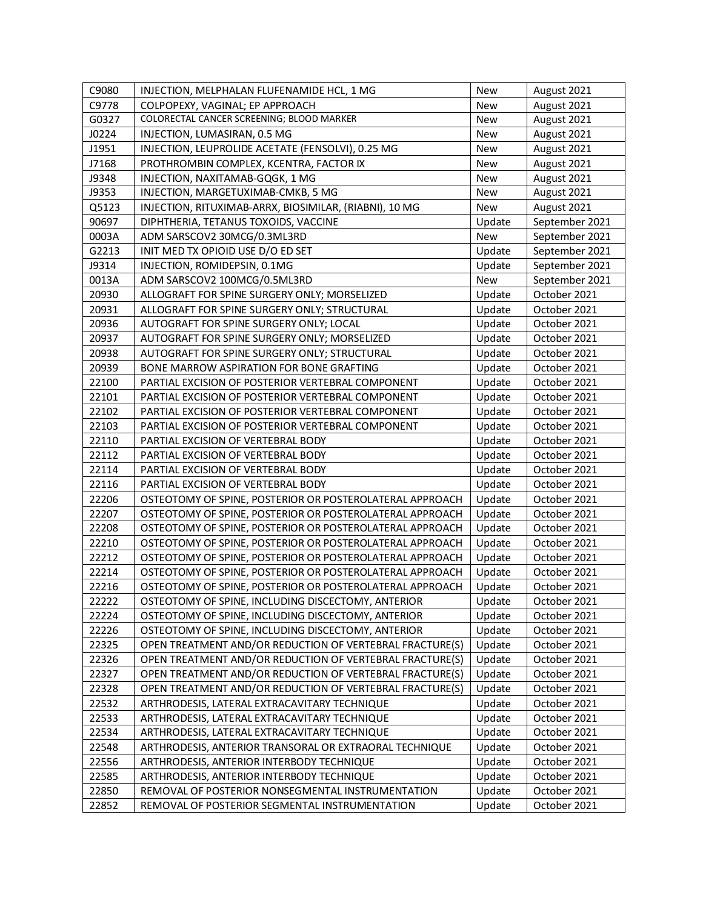| C9080 | INJECTION, MELPHALAN FLUFENAMIDE HCL, 1 MG               | New        | August 2021    |
|-------|----------------------------------------------------------|------------|----------------|
| C9778 | COLPOPEXY, VAGINAL; EP APPROACH                          | <b>New</b> | August 2021    |
| G0327 | COLORECTAL CANCER SCREENING; BLOOD MARKER                | New        | August 2021    |
| J0224 | INJECTION, LUMASIRAN, 0.5 MG                             | <b>New</b> | August 2021    |
| J1951 | INJECTION, LEUPROLIDE ACETATE (FENSOLVI), 0.25 MG        | <b>New</b> | August 2021    |
| J7168 | PROTHROMBIN COMPLEX, KCENTRA, FACTOR IX                  | <b>New</b> | August 2021    |
| J9348 | INJECTION, NAXITAMAB-GQGK, 1 MG                          | <b>New</b> | August 2021    |
| J9353 | INJECTION, MARGETUXIMAB-CMKB, 5 MG                       | New        | August 2021    |
| Q5123 | INJECTION, RITUXIMAB-ARRX, BIOSIMILAR, (RIABNI), 10 MG   | <b>New</b> | August 2021    |
| 90697 | DIPHTHERIA, TETANUS TOXOIDS, VACCINE                     | Update     | September 2021 |
| 0003A | ADM SARSCOV2 30MCG/0.3ML3RD                              | <b>New</b> | September 2021 |
| G2213 | INIT MED TX OPIOID USE D/O ED SET                        | Update     | September 2021 |
| J9314 | INJECTION, ROMIDEPSIN, 0.1MG                             | Update     | September 2021 |
| 0013A | ADM SARSCOV2 100MCG/0.5ML3RD                             | <b>New</b> | September 2021 |
| 20930 | ALLOGRAFT FOR SPINE SURGERY ONLY; MORSELIZED             | Update     | October 2021   |
| 20931 | ALLOGRAFT FOR SPINE SURGERY ONLY; STRUCTURAL             | Update     | October 2021   |
| 20936 | AUTOGRAFT FOR SPINE SURGERY ONLY; LOCAL                  | Update     | October 2021   |
| 20937 | AUTOGRAFT FOR SPINE SURGERY ONLY; MORSELIZED             | Update     | October 2021   |
| 20938 | AUTOGRAFT FOR SPINE SURGERY ONLY; STRUCTURAL             | Update     | October 2021   |
| 20939 | BONE MARROW ASPIRATION FOR BONE GRAFTING                 | Update     | October 2021   |
| 22100 | PARTIAL EXCISION OF POSTERIOR VERTEBRAL COMPONENT        | Update     | October 2021   |
| 22101 | PARTIAL EXCISION OF POSTERIOR VERTEBRAL COMPONENT        | Update     | October 2021   |
| 22102 | PARTIAL EXCISION OF POSTERIOR VERTEBRAL COMPONENT        | Update     | October 2021   |
| 22103 | PARTIAL EXCISION OF POSTERIOR VERTEBRAL COMPONENT        | Update     | October 2021   |
| 22110 | PARTIAL EXCISION OF VERTEBRAL BODY                       | Update     | October 2021   |
| 22112 | PARTIAL EXCISION OF VERTEBRAL BODY                       | Update     | October 2021   |
| 22114 | PARTIAL EXCISION OF VERTEBRAL BODY                       | Update     | October 2021   |
| 22116 | PARTIAL EXCISION OF VERTEBRAL BODY                       | Update     | October 2021   |
| 22206 | OSTEOTOMY OF SPINE, POSTERIOR OR POSTEROLATERAL APPROACH | Update     | October 2021   |
| 22207 | OSTEOTOMY OF SPINE, POSTERIOR OR POSTEROLATERAL APPROACH | Update     | October 2021   |
| 22208 | OSTEOTOMY OF SPINE, POSTERIOR OR POSTEROLATERAL APPROACH | Update     | October 2021   |
| 22210 | OSTEOTOMY OF SPINE, POSTERIOR OR POSTEROLATERAL APPROACH | Update     | October 2021   |
| 22212 | OSTEOTOMY OF SPINE, POSTERIOR OR POSTEROLATERAL APPROACH | Update     | October 2021   |
| 22214 | OSTEOTOMY OF SPINE, POSTERIOR OR POSTEROLATERAL APPROACH | Update     | October 2021   |
| 22216 | OSTEOTOMY OF SPINE, POSTERIOR OR POSTEROLATERAL APPROACH | Update     | October 2021   |
| 22222 | OSTEOTOMY OF SPINE, INCLUDING DISCECTOMY, ANTERIOR       | Update     | October 2021   |
| 22224 | OSTEOTOMY OF SPINE, INCLUDING DISCECTOMY, ANTERIOR       | Update     | October 2021   |
| 22226 | OSTEOTOMY OF SPINE, INCLUDING DISCECTOMY, ANTERIOR       | Update     | October 2021   |
| 22325 | OPEN TREATMENT AND/OR REDUCTION OF VERTEBRAL FRACTURE(S) | Update     | October 2021   |
| 22326 | OPEN TREATMENT AND/OR REDUCTION OF VERTEBRAL FRACTURE(S) | Update     | October 2021   |
| 22327 | OPEN TREATMENT AND/OR REDUCTION OF VERTEBRAL FRACTURE(S) | Update     | October 2021   |
| 22328 | OPEN TREATMENT AND/OR REDUCTION OF VERTEBRAL FRACTURE(S) | Update     | October 2021   |
| 22532 | ARTHRODESIS, LATERAL EXTRACAVITARY TECHNIQUE             | Update     | October 2021   |
| 22533 | ARTHRODESIS, LATERAL EXTRACAVITARY TECHNIQUE             | Update     | October 2021   |
| 22534 | ARTHRODESIS, LATERAL EXTRACAVITARY TECHNIQUE             | Update     | October 2021   |
| 22548 | ARTHRODESIS, ANTERIOR TRANSORAL OR EXTRAORAL TECHNIQUE   | Update     | October 2021   |
| 22556 | ARTHRODESIS, ANTERIOR INTERBODY TECHNIQUE                | Update     | October 2021   |
| 22585 | ARTHRODESIS, ANTERIOR INTERBODY TECHNIQUE                | Update     | October 2021   |
| 22850 | REMOVAL OF POSTERIOR NONSEGMENTAL INSTRUMENTATION        | Update     | October 2021   |
| 22852 | REMOVAL OF POSTERIOR SEGMENTAL INSTRUMENTATION           | Update     | October 2021   |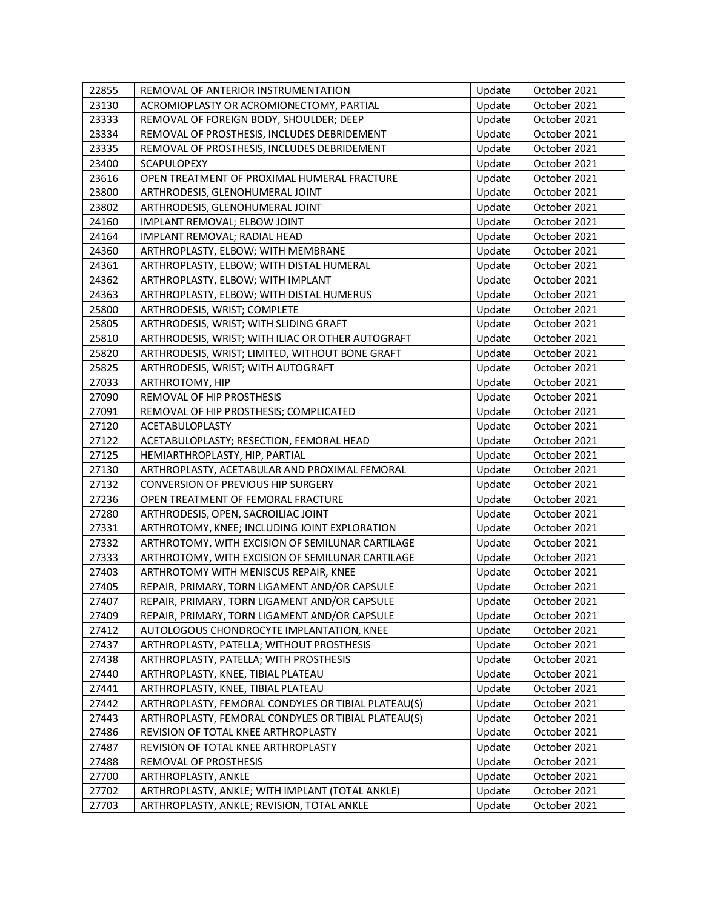| 22855 | REMOVAL OF ANTERIOR INSTRUMENTATION                 | Update | October 2021 |
|-------|-----------------------------------------------------|--------|--------------|
| 23130 | ACROMIOPLASTY OR ACROMIONECTOMY, PARTIAL            | Update | October 2021 |
| 23333 | REMOVAL OF FOREIGN BODY, SHOULDER; DEEP             | Update | October 2021 |
| 23334 | REMOVAL OF PROSTHESIS, INCLUDES DEBRIDEMENT         | Update | October 2021 |
| 23335 | REMOVAL OF PROSTHESIS, INCLUDES DEBRIDEMENT         | Update | October 2021 |
| 23400 | SCAPULOPEXY                                         | Update | October 2021 |
| 23616 | OPEN TREATMENT OF PROXIMAL HUMERAL FRACTURE         | Update | October 2021 |
| 23800 | ARTHRODESIS, GLENOHUMERAL JOINT                     | Update | October 2021 |
| 23802 | ARTHRODESIS, GLENOHUMERAL JOINT                     | Update | October 2021 |
| 24160 | IMPLANT REMOVAL; ELBOW JOINT                        | Update | October 2021 |
| 24164 | IMPLANT REMOVAL; RADIAL HEAD                        | Update | October 2021 |
| 24360 | ARTHROPLASTY, ELBOW; WITH MEMBRANE                  | Update | October 2021 |
| 24361 | ARTHROPLASTY, ELBOW; WITH DISTAL HUMERAL            | Update | October 2021 |
| 24362 | ARTHROPLASTY, ELBOW; WITH IMPLANT                   | Update | October 2021 |
| 24363 | ARTHROPLASTY, ELBOW; WITH DISTAL HUMERUS            | Update | October 2021 |
| 25800 | ARTHRODESIS, WRIST; COMPLETE                        | Update | October 2021 |
| 25805 | ARTHRODESIS, WRIST; WITH SLIDING GRAFT              | Update | October 2021 |
| 25810 | ARTHRODESIS, WRIST; WITH ILIAC OR OTHER AUTOGRAFT   | Update | October 2021 |
| 25820 | ARTHRODESIS, WRIST; LIMITED, WITHOUT BONE GRAFT     | Update | October 2021 |
| 25825 | ARTHRODESIS, WRIST; WITH AUTOGRAFT                  | Update | October 2021 |
| 27033 | ARTHROTOMY, HIP                                     | Update | October 2021 |
| 27090 | REMOVAL OF HIP PROSTHESIS                           | Update | October 2021 |
| 27091 | REMOVAL OF HIP PROSTHESIS; COMPLICATED              | Update | October 2021 |
| 27120 | ACETABULOPLASTY                                     | Update | October 2021 |
| 27122 | ACETABULOPLASTY; RESECTION, FEMORAL HEAD            | Update | October 2021 |
| 27125 | HEMIARTHROPLASTY, HIP, PARTIAL                      | Update | October 2021 |
| 27130 | ARTHROPLASTY, ACETABULAR AND PROXIMAL FEMORAL       | Update | October 2021 |
| 27132 | CONVERSION OF PREVIOUS HIP SURGERY                  | Update | October 2021 |
| 27236 | OPEN TREATMENT OF FEMORAL FRACTURE                  | Update | October 2021 |
| 27280 | ARTHRODESIS, OPEN, SACROILIAC JOINT                 | Update | October 2021 |
| 27331 | ARTHROTOMY, KNEE; INCLUDING JOINT EXPLORATION       | Update | October 2021 |
| 27332 | ARTHROTOMY, WITH EXCISION OF SEMILUNAR CARTILAGE    | Update | October 2021 |
| 27333 | ARTHROTOMY, WITH EXCISION OF SEMILUNAR CARTILAGE    | Update | October 2021 |
| 27403 | ARTHROTOMY WITH MENISCUS REPAIR, KNEE               | Update | October 2021 |
| 27405 | REPAIR, PRIMARY, TORN LIGAMENT AND/OR CAPSULE       | Update | October 2021 |
| 27407 | REPAIR, PRIMARY, TORN LIGAMENT AND/OR CAPSULE       | Update | October 2021 |
| 27409 | REPAIR, PRIMARY, TORN LIGAMENT AND/OR CAPSULE       | Update | October 2021 |
| 27412 | AUTOLOGOUS CHONDROCYTE IMPLANTATION, KNEE           | Update | October 2021 |
| 27437 | ARTHROPLASTY, PATELLA; WITHOUT PROSTHESIS           | Update | October 2021 |
| 27438 | ARTHROPLASTY, PATELLA; WITH PROSTHESIS              | Update | October 2021 |
| 27440 | ARTHROPLASTY, KNEE, TIBIAL PLATEAU                  | Update | October 2021 |
| 27441 | ARTHROPLASTY, KNEE, TIBIAL PLATEAU                  | Update | October 2021 |
| 27442 | ARTHROPLASTY, FEMORAL CONDYLES OR TIBIAL PLATEAU(S) | Update | October 2021 |
| 27443 | ARTHROPLASTY, FEMORAL CONDYLES OR TIBIAL PLATEAU(S) | Update | October 2021 |
| 27486 | REVISION OF TOTAL KNEE ARTHROPLASTY                 | Update | October 2021 |
| 27487 | REVISION OF TOTAL KNEE ARTHROPLASTY                 | Update | October 2021 |
| 27488 | REMOVAL OF PROSTHESIS                               | Update | October 2021 |
| 27700 | ARTHROPLASTY, ANKLE                                 | Update | October 2021 |
| 27702 | ARTHROPLASTY, ANKLE; WITH IMPLANT (TOTAL ANKLE)     | Update | October 2021 |
| 27703 | ARTHROPLASTY, ANKLE; REVISION, TOTAL ANKLE          | Update | October 2021 |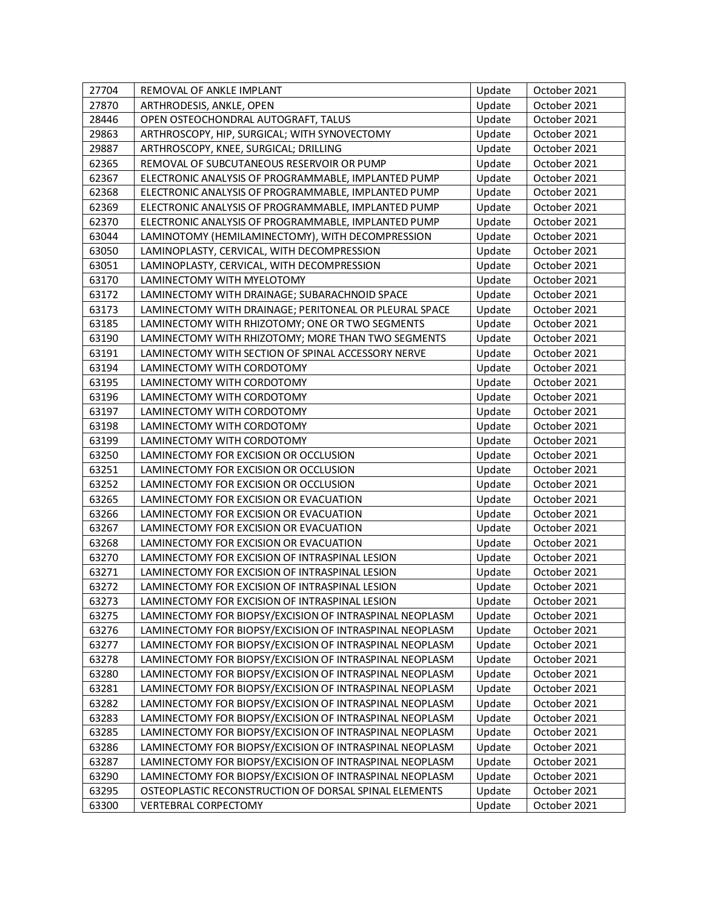| 27704 | REMOVAL OF ANKLE IMPLANT                                | Update | October 2021 |
|-------|---------------------------------------------------------|--------|--------------|
| 27870 | ARTHRODESIS, ANKLE, OPEN                                | Update | October 2021 |
| 28446 | OPEN OSTEOCHONDRAL AUTOGRAFT, TALUS                     | Update | October 2021 |
| 29863 | ARTHROSCOPY, HIP, SURGICAL; WITH SYNOVECTOMY            | Update | October 2021 |
| 29887 | ARTHROSCOPY, KNEE, SURGICAL; DRILLING                   | Update | October 2021 |
| 62365 | REMOVAL OF SUBCUTANEOUS RESERVOIR OR PUMP               | Update | October 2021 |
| 62367 | ELECTRONIC ANALYSIS OF PROGRAMMABLE, IMPLANTED PUMP     | Update | October 2021 |
| 62368 | ELECTRONIC ANALYSIS OF PROGRAMMABLE, IMPLANTED PUMP     | Update | October 2021 |
| 62369 | ELECTRONIC ANALYSIS OF PROGRAMMABLE, IMPLANTED PUMP     | Update | October 2021 |
| 62370 | ELECTRONIC ANALYSIS OF PROGRAMMABLE, IMPLANTED PUMP     | Update | October 2021 |
| 63044 | LAMINOTOMY (HEMILAMINECTOMY), WITH DECOMPRESSION        | Update | October 2021 |
| 63050 | LAMINOPLASTY, CERVICAL, WITH DECOMPRESSION              | Update | October 2021 |
| 63051 | LAMINOPLASTY, CERVICAL, WITH DECOMPRESSION              | Update | October 2021 |
| 63170 | LAMINECTOMY WITH MYELOTOMY                              | Update | October 2021 |
| 63172 | LAMINECTOMY WITH DRAINAGE; SUBARACHNOID SPACE           | Update | October 2021 |
| 63173 | LAMINECTOMY WITH DRAINAGE; PERITONEAL OR PLEURAL SPACE  | Update | October 2021 |
| 63185 | LAMINECTOMY WITH RHIZOTOMY; ONE OR TWO SEGMENTS         | Update | October 2021 |
| 63190 | LAMINECTOMY WITH RHIZOTOMY; MORE THAN TWO SEGMENTS      | Update | October 2021 |
| 63191 | LAMINECTOMY WITH SECTION OF SPINAL ACCESSORY NERVE      | Update | October 2021 |
| 63194 | LAMINECTOMY WITH CORDOTOMY                              | Update | October 2021 |
| 63195 | LAMINECTOMY WITH CORDOTOMY                              | Update | October 2021 |
| 63196 | LAMINECTOMY WITH CORDOTOMY                              | Update | October 2021 |
| 63197 | LAMINECTOMY WITH CORDOTOMY                              | Update | October 2021 |
| 63198 | LAMINECTOMY WITH CORDOTOMY                              | Update | October 2021 |
| 63199 | LAMINECTOMY WITH CORDOTOMY                              | Update | October 2021 |
| 63250 | LAMINECTOMY FOR EXCISION OR OCCLUSION                   | Update | October 2021 |
| 63251 | LAMINECTOMY FOR EXCISION OR OCCLUSION                   | Update | October 2021 |
| 63252 | LAMINECTOMY FOR EXCISION OR OCCLUSION                   | Update | October 2021 |
| 63265 | LAMINECTOMY FOR EXCISION OR EVACUATION                  | Update | October 2021 |
| 63266 | LAMINECTOMY FOR EXCISION OR EVACUATION                  | Update | October 2021 |
| 63267 | LAMINECTOMY FOR EXCISION OR EVACUATION                  | Update | October 2021 |
| 63268 | LAMINECTOMY FOR EXCISION OR EVACUATION                  | Update | October 2021 |
| 63270 | LAMINECTOMY FOR EXCISION OF INTRASPINAL LESION          | Update | October 2021 |
| 63271 | LAMINECTOMY FOR EXCISION OF INTRASPINAL LESION          | Update | October 2021 |
| 63272 | LAMINECTOMY FOR EXCISION OF INTRASPINAL LESION          | Update | October 2021 |
| 63273 | LAMINECTOMY FOR EXCISION OF INTRASPINAL LESION          | Update | October 2021 |
| 63275 | LAMINECTOMY FOR BIOPSY/EXCISION OF INTRASPINAL NEOPLASM | Update | October 2021 |
| 63276 | LAMINECTOMY FOR BIOPSY/EXCISION OF INTRASPINAL NEOPLASM | Update | October 2021 |
| 63277 | LAMINECTOMY FOR BIOPSY/EXCISION OF INTRASPINAL NEOPLASM | Update | October 2021 |
| 63278 | LAMINECTOMY FOR BIOPSY/EXCISION OF INTRASPINAL NEOPLASM | Update | October 2021 |
| 63280 | LAMINECTOMY FOR BIOPSY/EXCISION OF INTRASPINAL NEOPLASM | Update | October 2021 |
| 63281 | LAMINECTOMY FOR BIOPSY/EXCISION OF INTRASPINAL NEOPLASM | Update | October 2021 |
| 63282 | LAMINECTOMY FOR BIOPSY/EXCISION OF INTRASPINAL NEOPLASM | Update | October 2021 |
| 63283 | LAMINECTOMY FOR BIOPSY/EXCISION OF INTRASPINAL NEOPLASM | Update | October 2021 |
| 63285 | LAMINECTOMY FOR BIOPSY/EXCISION OF INTRASPINAL NEOPLASM | Update | October 2021 |
| 63286 | LAMINECTOMY FOR BIOPSY/EXCISION OF INTRASPINAL NEOPLASM | Update | October 2021 |
| 63287 | LAMINECTOMY FOR BIOPSY/EXCISION OF INTRASPINAL NEOPLASM | Update | October 2021 |
| 63290 | LAMINECTOMY FOR BIOPSY/EXCISION OF INTRASPINAL NEOPLASM | Update | October 2021 |
| 63295 | OSTEOPLASTIC RECONSTRUCTION OF DORSAL SPINAL ELEMENTS   | Update | October 2021 |
| 63300 | <b>VERTEBRAL CORPECTOMY</b>                             | Update | October 2021 |